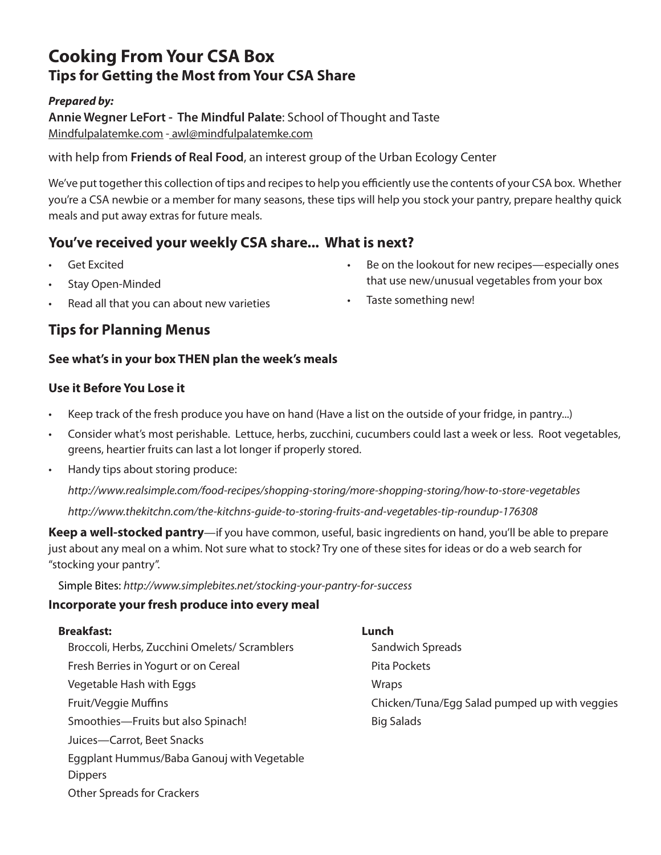# **Cooking From Your CSA Box Tips for Getting the Most from Your CSA Share**

# *Prepared by:*

**Annie Wegner LeFort - The Mindful Palate**: School of Thought and Taste Mindfulpalatemke.com - awl@mindfulpalatemke.com

with help from **Friends of Real Food**, an interest group of the Urban Ecology Center

We've put together this collection of tips and recipes to help you efficiently use the contents of your CSA box. Whether you're a CSA newbie or a member for many seasons, these tips will help you stock your pantry, prepare healthy quick meals and put away extras for future meals.

# **You've received your weekly CSA share... What is next?**

- • Get Excited
- Stay Open-Minded
- Be on the lookout for new recipes—especially ones that use new/unusual vegetables from your box
- • Read all that you can about new varieties

# **Tips for Planning Menus**

# **See what's in your box THEN plan the week's meals**

# **Use it Before You Lose it**

- • Keep track of the fresh produce you have on hand (Have a list on the outside of your fridge, in pantry...)
- • Consider what's most perishable. Lettuce, herbs, zucchini, cucumbers could last a week or less. Root vegetables, greens, heartier fruits can last a lot longer if properly stored.
- Handy tips about storing produce:

*http://www.realsimple.com/food-recipes/shopping-storing/more-shopping-storing/how-to-store-vegetables*

*http://www.thekitchn.com/the-kitchns-guide-to-storing-fruits-and-vegetables-tip-roundup-176308* 

**Keep a well-stocked pantry**—if you have common, useful, basic ingredients on hand, you'll be able to prepare just about any meal on a whim. Not sure what to stock? Try one of these sites for ideas or do a web search for "stocking your pantry".

Simple Bites: *http://www.simplebites.net/stocking-your-pantry-for-success*

# **Incorporate your fresh produce into every meal**

| <b>Breakfast:</b>                             | Lunch                                         |
|-----------------------------------------------|-----------------------------------------------|
| Broccoli, Herbs, Zucchini Omelets/ Scramblers | Sandwich Spreads                              |
| Fresh Berries in Yogurt or on Cereal          | Pita Pockets                                  |
| Vegetable Hash with Eggs                      | Wraps                                         |
| Fruit/Veggie Muffins                          | Chicken/Tuna/Egg Salad pumped up with veggies |
| Smoothies-Fruits but also Spinach!            | <b>Big Salads</b>                             |
| Juices-Carrot, Beet Snacks                    |                                               |
| Eggplant Hummus/Baba Ganouj with Vegetable    |                                               |
| <b>Dippers</b>                                |                                               |

Other Spreads for Crackers

• Taste something new!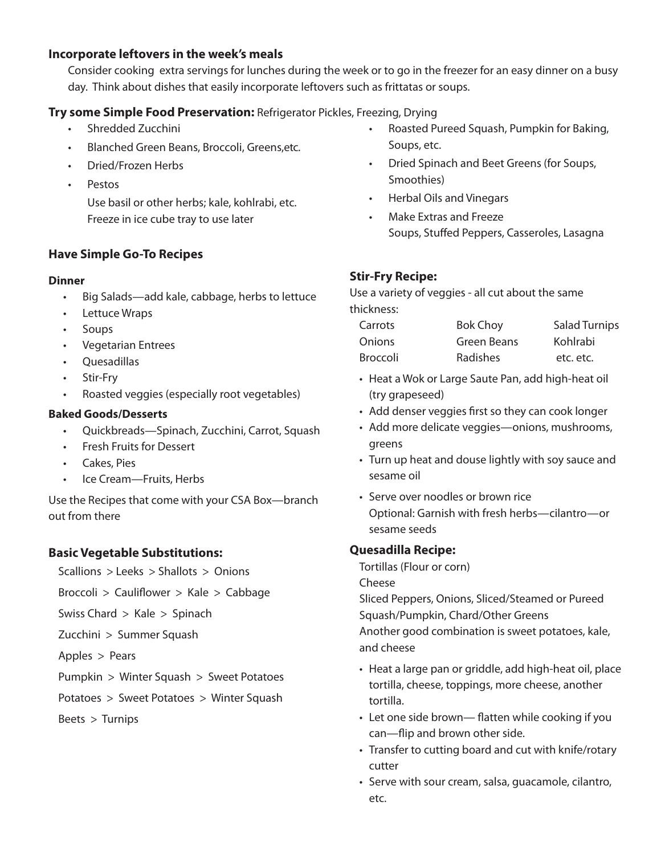#### **Incorporate leftovers in the week's meals**

Consider cooking extra servings for lunches during the week or to go in the freezer for an easy dinner on a busy day. Think about dishes that easily incorporate leftovers such as frittatas or soups.

# **Try some Simple Food Preservation:** Refrigerator Pickles, Freezing, Drying

- Shredded Zucchini
- Blanched Green Beans, Broccoli, Greens, etc.
- • Dried/Frozen Herbs
- **Pestos**

Use basil or other herbs; kale, kohlrabi, etc. Freeze in ice cube tray to use later

# **Have Simple Go-To Recipes**

#### **Dinner**

- Big Salads—add kale, cabbage, herbs to lettuce
- • Lettuce Wraps
- • Soups
- • Vegetarian Entrees
- • Quesadillas
- • Stir-Fry
- • Roasted veggies (especially root vegetables)

#### **Baked Goods/Desserts**

- • Quickbreads—Spinach, Zucchini, Carrot, Squash
- • Fresh Fruits for Dessert
- • Cakes, Pies
- • Ice Cream—Fruits, Herbs

Use the Recipes that come with your CSA Box—branch out from there

# **Basic Vegetable Substitutions:**

Scallions > Leeks > Shallots > Onions

Broccoli > Cauliflower > Kale > Cabbage

Swiss Chard > Kale > Spinach

Zucchini > Summer Squash

Apples > Pears

Pumpkin > Winter Squash > Sweet Potatoes

Potatoes > Sweet Potatoes > Winter Squash

Beets > Turnips

- Roasted Pureed Squash, Pumpkin for Baking, Soups, etc.
- Dried Spinach and Beet Greens (for Soups, Smoothies)
- **Herbal Oils and Vinegars**
- **Make Extras and Freeze** Soups, Stuffed Peppers, Casseroles, Lasagna

# **Stir-Fry Recipe:**

Use a variety of veggies - all cut about the same thickness:

| Carrots  | <b>Bok Choy</b> | <b>Salad Turnips</b> |
|----------|-----------------|----------------------|
| Onions   | Green Beans     | Kohlrabi             |
| Broccoli | <b>Radishes</b> | etc. etc.            |

- Heat a Wok or Large Saute Pan, add high-heat oil (try grapeseed)
- Add denser veggies first so they can cook longer
- • Add more delicate veggies—onions, mushrooms, greens
- Turn up heat and douse lightly with soy sauce and sesame oil
- Serve over noodles or brown rice Optional: Garnish with fresh herbs—cilantro—or sesame seeds

# **Quesadilla Recipe:**

Tortillas (Flour or corn) Cheese

Sliced Peppers, Onions, Sliced/Steamed or Pureed Squash/Pumpkin, Chard/Other Greens Another good combination is sweet potatoes, kale, and cheese

- Heat a large pan or griddle, add high-heat oil, place tortilla, cheese, toppings, more cheese, another tortilla.
- Let one side brown— flatten while cooking if you can—flip and brown other side.
- Transfer to cutting board and cut with knife/rotary cutter
- Serve with sour cream, salsa, guacamole, cilantro, etc.